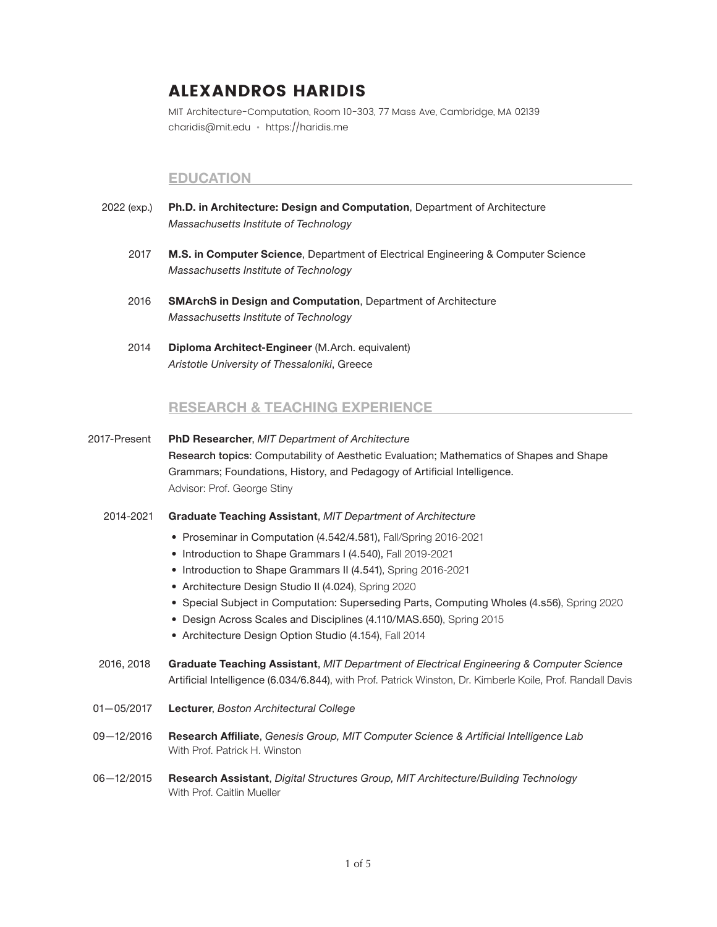# **ALEXANDROS HARIDIS**

MIT Architecture-Computation, Room 10-303, 77 Mass Ave, Cambridge, MA 02139 charidis@mit.edu • https://haridis.me

## **EDUCATION**

- 2022 (exp.) **Ph.D. in Architecture: Design and Computation**, Department of Architecture *Massachusetts Institute of Technology*
	- 2017 **M.S. in Computer Science**, Department of Electrical Engineering & Computer Science *Massachusetts Institute of Technology*
	- 2016 **SMArchS in Design and Computation**, Department of Architecture *Massachusetts Institute of Technology*
	- 2014 **Diploma Architect-Engineer** (M.Arch. equivalent) *Aristotle University of Thessaloniki*, Greece

# **RESEARCH & TEACHING EXPERIENCE**

- 2017-Present **PhD Researcher**, *MIT Department of Architecture* Research topics: Computability of Aesthetic Evaluation; Mathematics of Shapes and Shape Grammars; Foundations, History, and Pedagogy of Artificial Intelligence. Advisor: Prof. George Stiny
	- 2014-2021 **Graduate Teaching Assistant**, *MIT Department of Architecture*
		- Proseminar in Computation (4.542/4.581), Fall/Spring 2016-2021
		- Introduction to Shape Grammars I (4.540), Fall 2019-2021
		- Introduction to Shape Grammars II (4.541), Spring 2016-2021
		- Architecture Design Studio II (4.024), Spring 2020
		- Special Subject in Computation: Superseding Parts, Computing Wholes (4.s56), Spring 2020
		- Design Across Scales and Disciplines (4.110/MAS.650), Spring 2015
		- Architecture Design Option Studio (4.154), Fall 2014
	- 2016, 2018 **Graduate Teaching Assistant**, *MIT Department of Electrical Engineering & Computer Science* Artificial Intelligence (6.034/6.844), with Prof. Patrick Winston, Dr. Kimberle Koile, Prof. Randall Davis
- 01—05/2017 **Lecturer**, *Boston Architectural College*
- 09—12/2016 **Research Affiliate**, *Genesis Group, MIT Computer Science & Artificial Intelligence Lab* With Prof. Patrick H. Winston
- 06—12/2015 **Research Assistant**, *Digital Structures Group, MIT Architecture/Building Technology* With Prof. Caitlin Mueller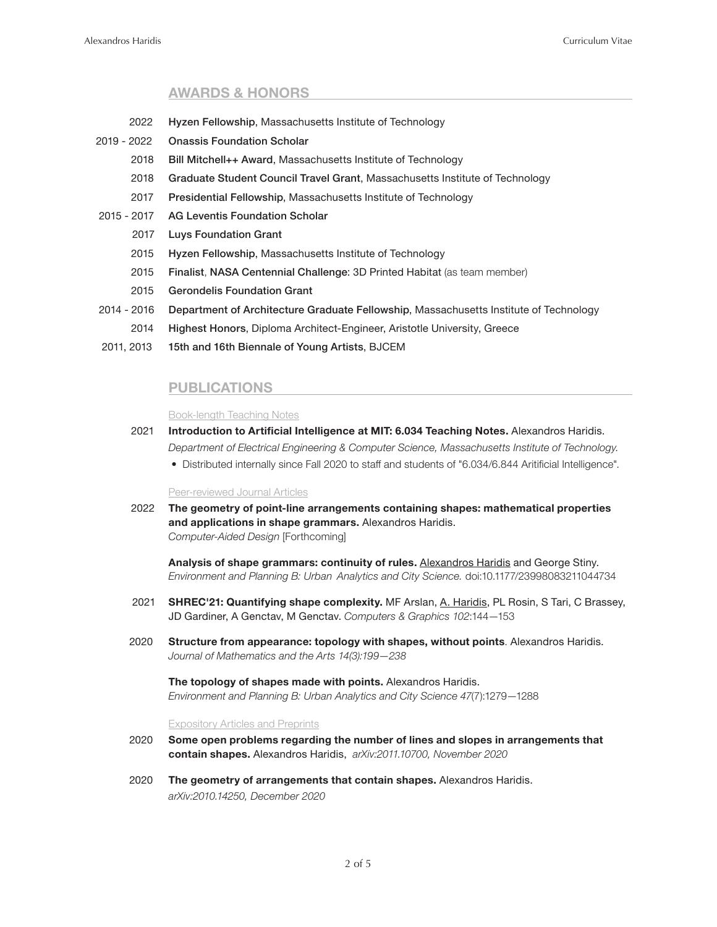## **AWARDS & HONORS**

- 2022 Hyzen Fellowship, Massachusetts Institute of Technology
- 2019 2022 Onassis Foundation Scholar
	- 2018 Bill Mitchell++ Award, Massachusetts Institute of Technology
	- 2018 Graduate Student Council Travel Grant, Massachusetts Institute of Technology
	- 2017 Presidential Fellowship, Massachusetts Institute of Technology
- 2015 2017 AG Leventis Foundation Scholar
	- 2017 Luys Foundation Grant
	- 2015 Hyzen Fellowship, Massachusetts Institute of Technology
	- 2015 Finalist, NASA Centennial Challenge: 3D Printed Habitat (as team member)
	- 2015 Gerondelis Foundation Grant
- 2014 2016 Department of Architecture Graduate Fellowship, Massachusetts Institute of Technology
	- 2014 Highest Honors, Diploma Architect-Engineer, Aristotle University, Greece
- 2011, 2013 15th and 16th Biennale of Young Artists, BJCEM

# **PUBLICATIONS**

#### Book-length Teaching Notes

- 2021 **Introduction to Artificial Intelligence at MIT: 6.034 Teaching Notes.** Alexandros Haridis. *Department of Electrical Engineering & Computer Science, Massachusetts Institute of Technology.*
	- Distributed internally since Fall 2020 to staff and students of "6.034/6.844 Aritificial Intelligence".

#### Peer-reviewed Journal Articles

 2022 **The geometry of point-line arrangements containing shapes: mathematical properties and applications in shape grammars.** Alexandros Haridis. *Computer-Aided Design* [Forthcoming]

**Analysis of shape grammars: continuity of rules.** Alexandros Haridis and George Stiny. *Environment and Planning B: Urban Analytics and City Science.* doi:10.1177/23998083211044734

- 2021 **SHREC'21: Quantifying shape complexity.** MF Arslan, A. Haridis, PL Rosin, S Tari, C Brassey, JD Gardiner, A Genctav, M Genctav. *Computers & Graphics 102*:144—153
- 2020 **Structure from appearance: topology with shapes, without points**. Alexandros Haridis.  *Journal of Mathematics and the Arts 14(3):199—238*

 **The topology of shapes made with points.** Alexandros Haridis. *Environment and Planning B: Urban Analytics and City Science 47*(7):1279—1288

#### Expository Articles and Preprints

- 2020 **Some open problems regarding the number of lines and slopes in arrangements that contain shapes.** Alexandros Haridis, *arXiv:2011.10700, November 2020*
- 2020 **The geometry of arrangements that contain shapes.** Alexandros Haridis. *arXiv:2010.14250, December 2020*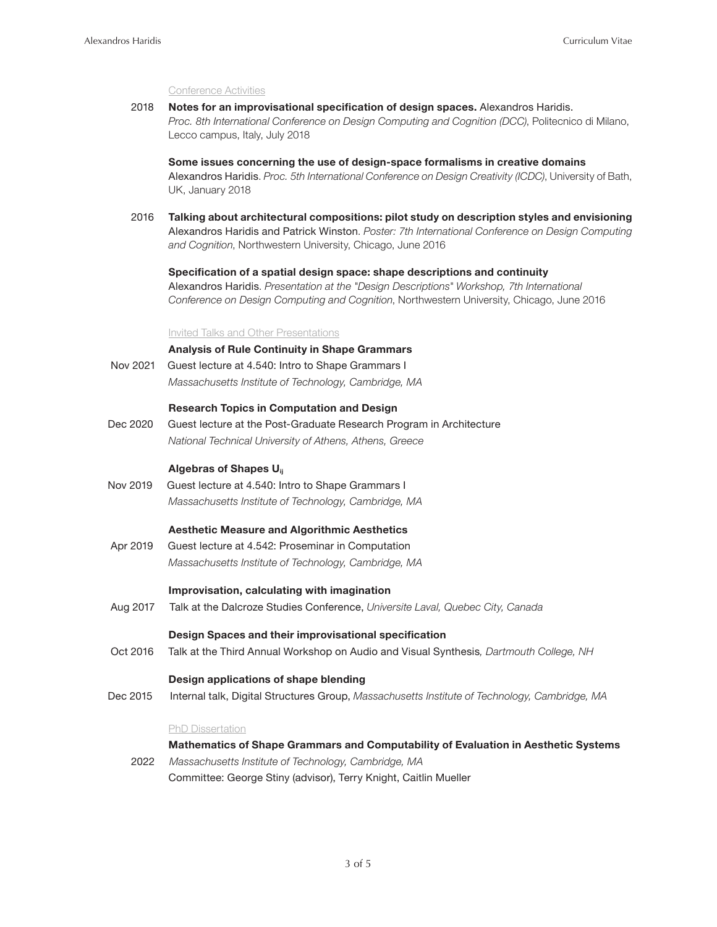#### Conference Activities

 2018 **Notes for an improvisational specification of design spaces.** Alexandros Haridis. *Proc. 8th International Conference on Design Computing and Cognition (DCC)*, Politecnico di Milano, Lecco campus, Italy, July 2018

**Some issues concerning the use of design-space formalisms in creative domains** Alexandros Haridis. *Proc. 5th International Conference on Design Creativity (ICDC)*, University of Bath, UK, January 2018

 2016 **Talking about architectural compositions: pilot study on description styles and envisioning** Alexandros Haridis and Patrick Winston. *Poster: 7th International Conference on Design Computing and Cognition*, Northwestern University, Chicago, June 2016

 **Specification of a spatial design space: shape descriptions and continuity** Alexandros Haridis. *Presentation at the "Design Descriptions" Workshop, 7th International Conference on Design Computing and Cognition*, Northwestern University, Chicago, June 2016

#### Invited Talks and Other Presentations

### **Analysis of Rule Continuity in Shape Grammars**

 Nov 2021 Guest lecture at 4.540: Intro to Shape Grammars I *Massachusetts Institute of Technology, Cambridge, MA*

#### **Research Topics in Computation and Design**

 Dec 2020 Guest lecture at the Post-Graduate Research Program in Architecture  *National Technical University of Athens, Athens, Greece*

#### **Algebras of Shapes Uij**

 Nov 2019 Guest lecture at 4.540: Intro to Shape Grammars I *Massachusetts Institute of Technology, Cambridge, MA*

#### **Aesthetic Measure and Algorithmic Aesthetics**

 Apr 2019 Guest lecture at 4.542: Proseminar in Computation *Massachusetts Institute of Technology, Cambridge, MA*

### **Improvisation, calculating with imagination**

Aug 2017 Talk at the Dalcroze Studies Conference, *Universite Laval, Quebec City, Canada*

### **Design Spaces and their improvisational specification**

Oct 2016 Talk at the Third Annual Workshop on Audio and Visual Synthesis*, Dartmouth College, NH*

#### **Design applications of shape blending**

Dec 2015 Internal talk, Digital Structures Group, *Massachusetts Institute of Technology, Cambridge, MA*

#### PhD Dissertation

#### **Mathematics of Shape Grammars and Computability of Evaluation in Aesthetic Systems**

 2022 *Massachusetts Institute of Technology, Cambridge, MA* Committee: George Stiny (advisor), Terry Knight, Caitlin Mueller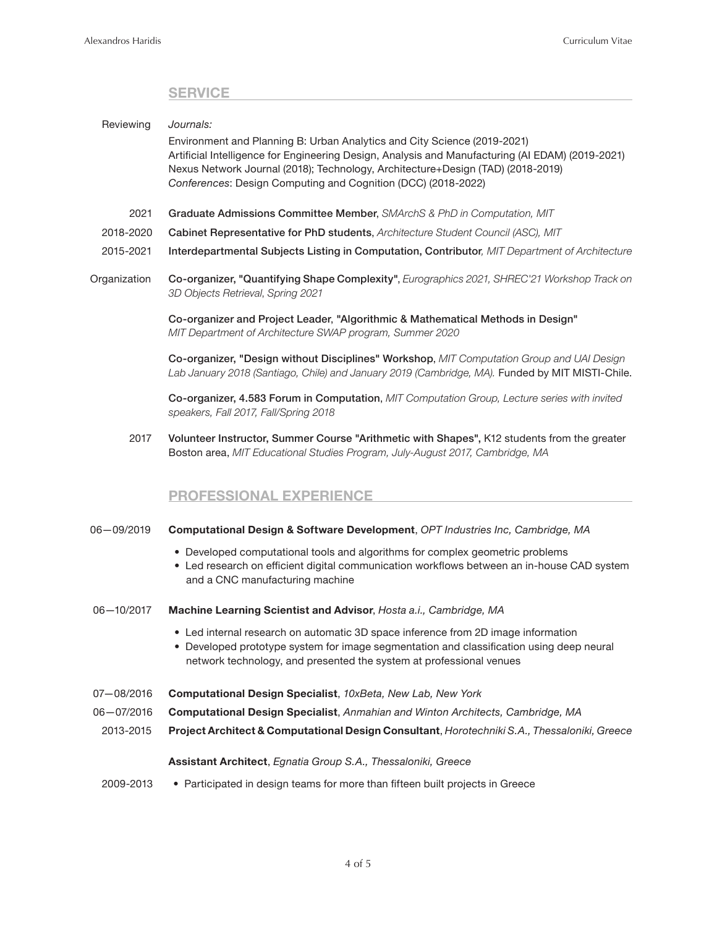# **SERVICE**

| Reviewing      | Journals:<br>Environment and Planning B: Urban Analytics and City Science (2019-2021)<br>Artificial Intelligence for Engineering Design, Analysis and Manufacturing (AI EDAM) (2019-2021)<br>Nexus Network Journal (2018); Technology, Architecture+Design (TAD) (2018-2019)<br>Conferences: Design Computing and Cognition (DCC) (2018-2022) |
|----------------|-----------------------------------------------------------------------------------------------------------------------------------------------------------------------------------------------------------------------------------------------------------------------------------------------------------------------------------------------|
| 2021           | Graduate Admissions Committee Member, SMArchS & PhD in Computation, MIT                                                                                                                                                                                                                                                                       |
| 2018-2020      | Cabinet Representative for PhD students, Architecture Student Council (ASC), MIT                                                                                                                                                                                                                                                              |
| 2015-2021      | Interdepartmental Subjects Listing in Computation, Contributor, MIT Department of Architecture                                                                                                                                                                                                                                                |
| Organization   | Co-organizer, "Quantifying Shape Complexity", Eurographics 2021, SHREC'21 Workshop Track on<br>3D Objects Retrieval, Spring 2021                                                                                                                                                                                                              |
|                | Co-organizer and Project Leader, "Algorithmic & Mathematical Methods in Design"<br>MIT Department of Architecture SWAP program, Summer 2020                                                                                                                                                                                                   |
|                | Co-organizer, "Design without Disciplines" Workshop, MIT Computation Group and UAI Design<br>Lab January 2018 (Santiago, Chile) and January 2019 (Cambridge, MA). Funded by MIT MISTI-Chile.                                                                                                                                                  |
|                | Co-organizer, 4.583 Forum in Computation, MIT Computation Group, Lecture series with invited<br>speakers, Fall 2017, Fall/Spring 2018                                                                                                                                                                                                         |
| 2017           | Volunteer Instructor, Summer Course "Arithmetic with Shapes", K12 students from the greater<br>Boston area, MIT Educational Studies Program, July-August 2017, Cambridge, MA                                                                                                                                                                  |
|                | <b>PROFESSIONAL EXPERIENCE</b>                                                                                                                                                                                                                                                                                                                |
| $06 - 09/2019$ | Computational Design & Software Development, OPT Industries Inc, Cambridge, MA                                                                                                                                                                                                                                                                |
|                | • Developed computational tools and algorithms for complex geometric problems                                                                                                                                                                                                                                                                 |

- Led research on efficient digital communication workflows between an in-house CAD system and a CNC manufacturing machine
- 06—10/2017 **Machine Learning Scientist and Advisor**, *Hosta a.i., Cambridge, MA*
	- Led internal research on automatic 3D space inference from 2D image information
	- Developed prototype system for image segmentation and classification using deep neural network technology, and presented the system at professional venues
- 07—08/2016 **Computational Design Specialist**, *10xBeta, New Lab, New York*
- 06—07/2016 **Computational Design Specialist**, *Anmahian and Winton Architects, Cambridge, MA*
	- 2013-2015 **Project Architect & Computational Design Consultant**, *Horotechniki S.A., Thessaloniki, Greece*

### **Assistant Architect**, *Egnatia Group S.A., Thessaloniki, Greece*

2009-2013 • Participated in design teams for more than fifteen built projects in Greece